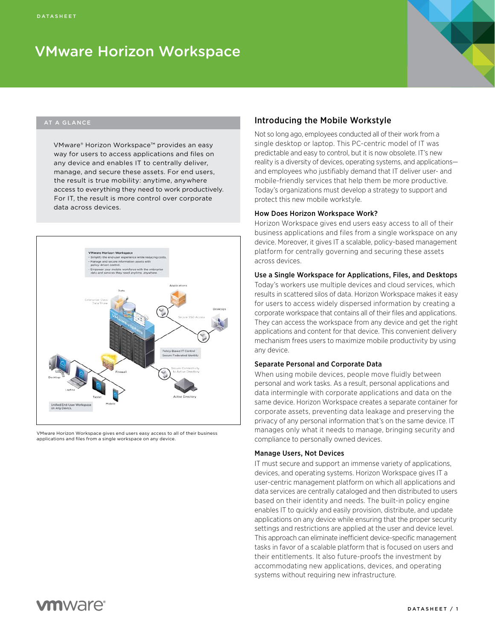# VMware Horizon Workspace



### AT A GLANCE

VMware® Horizon Workspace™ provides an easy way for users to access applications and files on any device and enables IT to centrally deliver, manage, and secure these assets. For end users, the result is true mobility: anytime, anywhere access to everything they need to work productively. For IT, the result is more control over corporate data across devices.



VMware Horizon Workspace gives end users easy access to all of their business applications and files from a single workspace on any device.

## Introducing the Mobile Workstyle

Not so long ago, employees conducted all of their work from a single desktop or laptop. This PC-centric model of IT was predictable and easy to control, but it is now obsolete. IT's new reality is a diversity of devices, operating systems, and applications and employees who justifiably demand that IT deliver user- and mobile-friendly services that help them be more productive. Today's organizations must develop a strategy to support and protect this new mobile workstyle.

#### How Does Horizon Workspace Work?

Horizon Workspace gives end users easy access to all of their business applications and files from a single workspace on any device. Moreover, it gives IT a scalable, policy-based management platform for centrally governing and securing these assets across devices.

#### Use a Single Workspace for Applications, Files, and Desktops

Today's workers use multiple devices and cloud services, which results in scattered silos of data. Horizon Workspace makes it easy for users to access widely dispersed information by creating a corporate workspace that contains all of their files and applications. They can access the workspace from any device and get the right applications and content for that device. This convenient delivery mechanism frees users to maximize mobile productivity by using any device.

#### Separate Personal and Corporate Data

When using mobile devices, people move fluidly between personal and work tasks. As a result, personal applications and data intermingle with corporate applications and data on the same device. Horizon Workspace creates a separate container for corporate assets, preventing data leakage and preserving the privacy of any personal information that's on the same device. IT manages only what it needs to manage, bringing security and compliance to personally owned devices.

#### Manage Users, Not Devices

IT must secure and support an immense variety of applications, devices, and operating systems. Horizon Workspace gives IT a user-centric management platform on which all applications and data services are centrally cataloged and then distributed to users based on their identity and needs. The built-in policy engine enables IT to quickly and easily provision, distribute, and update applications on any device while ensuring that the proper security settings and restrictions are applied at the user and device level. This approach can eliminate inefficient device-specific management tasks in favor of a scalable platform that is focused on users and their entitlements. It also future-proofs the investment by accommodating new applications, devices, and operating systems without requiring new infrastructure.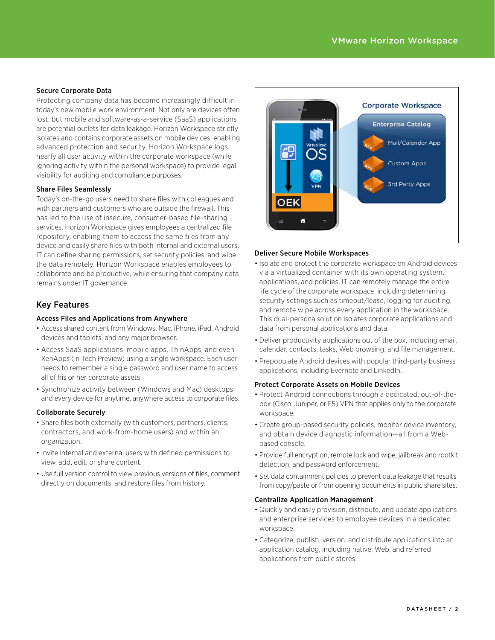### Secure Corporate Data

Protecting company data has become increasingly difficult in today's new mobile work environment. Not only are devices often lost, but mobile and software-as-a-service (SaaS) applications are potential outlets for data leakage. Horizon Workspace strictly isolates and contains corporate assets on mobile devices, enabling advanced protection and security. Horizon Workspace logs nearly all user activity within the corporate workspace (while ignoring activity within the personal workspace) to provide legal visibility for auditing and compliance purposes.

#### Share Files Seamlessly

Today's on-the-go users need to share files with colleagues and with partners and customers who are outside the firewall. This has led to the use of insecure, consumer-based file-sharing services. Horizon Workspace gives employees a centralized file repository, enabling them to access the same files from any device and easily share files with both internal and external users. IT can define sharing permissions, set security policies, and wipe the data remotely. Horizon Workspace enables employees to collaborate and be productive, while ensuring that company data remains under IT governance.

# Key Features

#### Access Files and Applications from Anywhere

- Access shared content from Windows, Mac, iPhone, iPad, Android devices and tablets, and any major browser.
- Access SaaS applications, mobile apps, ThinApps, and even XenApps (in Tech Preview) using a single workspace. Each user needs to remember a single password and user name to access all of his or her corporate assets.
- Synchronize activity between (Windows and Mac) desktops and every device for anytime, anywhere access to corporate files.

#### Collaborate Securely

- Share files both externally (with customers, partners, clients, contractors, and work-from-home users) and within an organization.
- • Invite internal and external users with defined permissions to view, add, edit, or share content.
- Use full version control to view previous versions of files, comment directly on documents, and restore files from history.



#### Deliver Secure Mobile Workspaces

- Isolate and protect the corporate workspace on Android devices via a virtualized container with its own operating system, applications, and policies. IT can remotely manage the entire life cycle of the corporate workspace, including determining security settings such as timeout/lease, logging for auditing, and remote wipe across every application in the workspace. This dual-persona solution isolates corporate applications and data from personal applications and data.
- Deliver productivity applications out of the box, including email, calendar, contacts, tasks, Web browsing, and file management.
- Prepopulate Android devices with popular third-party business applications, including Evernote and LinkedIn.

#### Protect Corporate Assets on Mobile Devices

- Protect Android connections through a dedicated, out-of-thebox (Cisco, Juniper, or F5) VPN that applies only to the corporate workspace.
- Create group-based security policies, monitor device inventory, and obtain device diagnostic information—all from a Webbased console.
- Provide full encryption, remote lock and wipe, jailbreak and rootkit detection, and password enforcement.
- Set data containment policies to prevent data leakage that results from copy/paste or from opening documents in public share sites.

#### Centralize Application Management

- Quickly and easily provision, distribute, and update applications and enterprise services to employee devices in a dedicated workspace.
- Categorize, publish, version, and distribute applications into an application catalog, including native, Web, and referred applications from public stores.